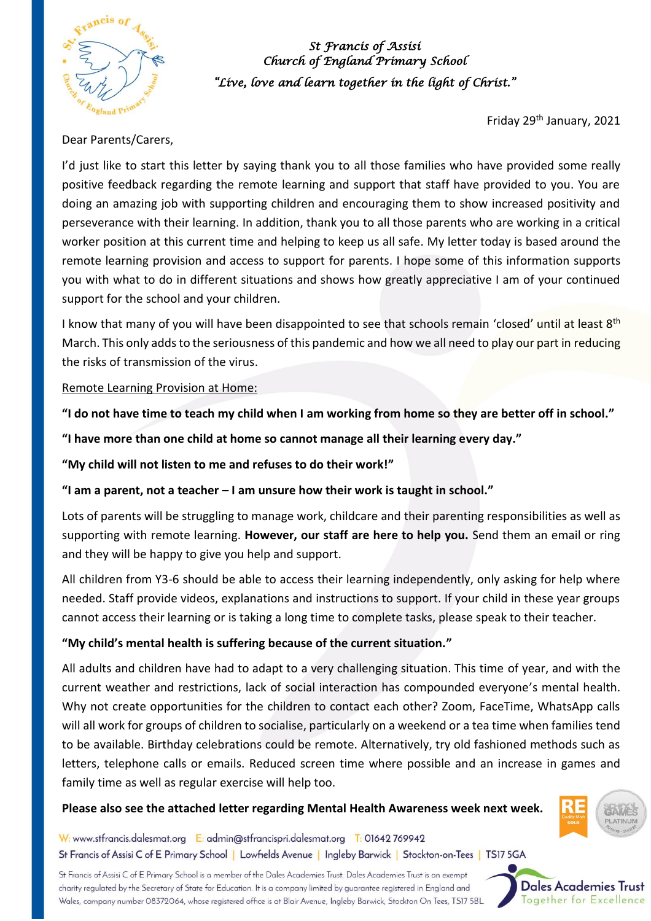

*St Francis of Assisi Church of England Primary School "Live, love and learn together in the light of Christ."* 

Friday 29th January, 2021

Dear Parents/Carers,

I'd just like to start this letter by saying thank you to all those families who have provided some really positive feedback regarding the remote learning and support that staff have provided to you. You are doing an amazing job with supporting children and encouraging them to show increased positivity and perseverance with their learning. In addition, thank you to all those parents who are working in a critical worker position at this current time and helping to keep us all safe. My letter today is based around the remote learning provision and access to support for parents. I hope some of this information supports you with what to do in different situations and shows how greatly appreciative I am of your continued support for the school and your children.

I know that many of you will have been disappointed to see that schools remain 'closed' until at least 8<sup>th</sup> March. This only adds to the seriousness of this pandemic and how we all need to play our part in reducing the risks of transmission of the virus.

Remote Learning Provision at Home:

**"I do not have time to teach my child when I am working from home so they are better off in school."**

**"I have more than one child at home so cannot manage all their learning every day."**

**"My child will not listen to me and refuses to do their work!"**

**"I am a parent, not a teacher – I am unsure how their work is taught in school."**

Lots of parents will be struggling to manage work, childcare and their parenting responsibilities as well as supporting with remote learning. **However, our staff are here to help you.** Send them an email or ring and they will be happy to give you help and support.

All children from Y3-6 should be able to access their learning independently, only asking for help where needed. Staff provide videos, explanations and instructions to support. If your child in these year groups cannot access their learning or is taking a long time to complete tasks, please speak to their teacher.

## **"My child's mental health is suffering because of the current situation."**

All adults and children have had to adapt to a very challenging situation. This time of year, and with the current weather and restrictions, lack of social interaction has compounded everyone's mental health. Why not create opportunities for the children to contact each other? Zoom, FaceTime, WhatsApp calls will all work for groups of children to socialise, particularly on a weekend or a tea time when families tend to be available. Birthday celebrations could be remote. Alternatively, try old fashioned methods such as letters, telephone calls or emails. Reduced screen time where possible and an increase in games and family time as well as regular exercise will help too.

## **Please also see the attached letter regarding Mental Health Awareness week next week.**



W: www.stfrancis.dalesmat.org E: admin@stfrancispri.dalesmat.org T: 01642 769942 St Francis of Assisi C of E Primary School | Lowfields Avenue | Ingleby Barwick | Stockton-on-Tees | TS17 5GA

St Francis of Assisi C of E Primary School is a member of the Dales Academies Trust. Dales Academies Trust is an exempt charity regulated by the Secretary of State for Education. It is a company limited by guarantee registered in England and Wales, company number 08372064, whose registered office is at Blair Avenue, Ingleby Barwick, Stockton On Tees, TS17 5BL

Dales Academies Trust Together for Excellence